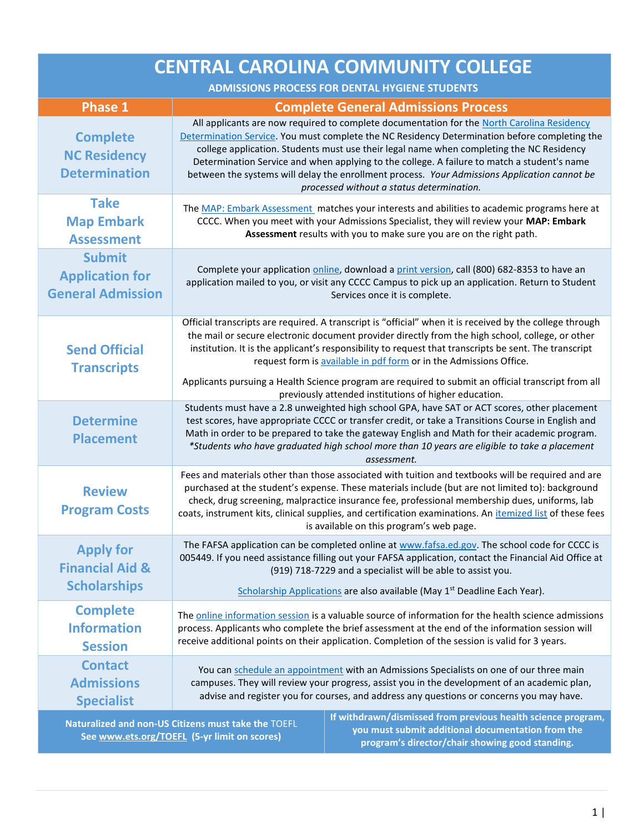| <b>CENTRAL CAROLINA COMMUNITY COLLEGE</b>                                                                                                                                                                                                                                   |                                                                                                                                                                                                                                                                                                                                                                                                                                                                  |                                                                                                                                                                                                                                                                                                                                                                                                                                                                                                                                     |
|-----------------------------------------------------------------------------------------------------------------------------------------------------------------------------------------------------------------------------------------------------------------------------|------------------------------------------------------------------------------------------------------------------------------------------------------------------------------------------------------------------------------------------------------------------------------------------------------------------------------------------------------------------------------------------------------------------------------------------------------------------|-------------------------------------------------------------------------------------------------------------------------------------------------------------------------------------------------------------------------------------------------------------------------------------------------------------------------------------------------------------------------------------------------------------------------------------------------------------------------------------------------------------------------------------|
| <b>ADMISSIONS PROCESS FOR DENTAL HYGIENE STUDENTS</b>                                                                                                                                                                                                                       |                                                                                                                                                                                                                                                                                                                                                                                                                                                                  |                                                                                                                                                                                                                                                                                                                                                                                                                                                                                                                                     |
| <b>Phase 1</b>                                                                                                                                                                                                                                                              |                                                                                                                                                                                                                                                                                                                                                                                                                                                                  | <b>Complete General Admissions Process</b>                                                                                                                                                                                                                                                                                                                                                                                                                                                                                          |
| <b>Complete</b><br><b>NC Residency</b><br><b>Determination</b>                                                                                                                                                                                                              |                                                                                                                                                                                                                                                                                                                                                                                                                                                                  | All applicants are now required to complete documentation for the North Carolina Residency<br>Determination Service. You must complete the NC Residency Determination before completing the<br>college application. Students must use their legal name when completing the NC Residency<br>Determination Service and when applying to the college. A failure to match a student's name<br>between the systems will delay the enrollment process. Your Admissions Application cannot be<br>processed without a status determination. |
| <b>Take</b><br><b>Map Embark</b><br><b>Assessment</b>                                                                                                                                                                                                                       |                                                                                                                                                                                                                                                                                                                                                                                                                                                                  | The MAP: Embark Assessment matches your interests and abilities to academic programs here at<br>CCCC. When you meet with your Admissions Specialist, they will review your MAP: Embark<br>Assessment results with you to make sure you are on the right path.                                                                                                                                                                                                                                                                       |
| <b>Submit</b><br><b>Application for</b><br><b>General Admission</b>                                                                                                                                                                                                         |                                                                                                                                                                                                                                                                                                                                                                                                                                                                  | Complete your application online, download a print version, call (800) 682-8353 to have an<br>application mailed to you, or visit any CCCC Campus to pick up an application. Return to Student<br>Services once it is complete.                                                                                                                                                                                                                                                                                                     |
| <b>Send Official</b><br><b>Transcripts</b>                                                                                                                                                                                                                                  |                                                                                                                                                                                                                                                                                                                                                                                                                                                                  | Official transcripts are required. A transcript is "official" when it is received by the college through<br>the mail or secure electronic document provider directly from the high school, college, or other<br>institution. It is the applicant's responsibility to request that transcripts be sent. The transcript<br>request form is available in pdf form or in the Admissions Office.<br>Applicants pursuing a Health Science program are required to submit an official transcript from all                                  |
|                                                                                                                                                                                                                                                                             | previously attended institutions of higher education.                                                                                                                                                                                                                                                                                                                                                                                                            |                                                                                                                                                                                                                                                                                                                                                                                                                                                                                                                                     |
| <b>Determine</b><br><b>Placement</b>                                                                                                                                                                                                                                        | Students must have a 2.8 unweighted high school GPA, have SAT or ACT scores, other placement<br>test scores, have appropriate CCCC or transfer credit, or take a Transitions Course in English and<br>Math in order to be prepared to take the gateway English and Math for their academic program.<br>*Students who have graduated high school more than 10 years are eligible to take a placement<br>assessment.                                               |                                                                                                                                                                                                                                                                                                                                                                                                                                                                                                                                     |
| <b>Review</b><br><b>Program Costs</b>                                                                                                                                                                                                                                       | Fees and materials other than those associated with tuition and textbooks will be required and are<br>purchased at the student's expense. These materials include (but are not limited to): background<br>check, drug screening, malpractice insurance fee, professional membership dues, uniforms, lab<br>coats, instrument kits, clinical supplies, and certification examinations. An itemized list of these fees<br>is available on this program's web page. |                                                                                                                                                                                                                                                                                                                                                                                                                                                                                                                                     |
| <b>Apply for</b><br><b>Financial Aid &amp;</b><br><b>Scholarships</b>                                                                                                                                                                                                       | The FAFSA application can be completed online at www.fafsa.ed.gov. The school code for CCCC is<br>005449. If you need assistance filling out your FAFSA application, contact the Financial Aid Office at<br>(919) 718-7229 and a specialist will be able to assist you.<br>Scholarship Applications are also available (May 1 <sup>st</sup> Deadline Each Year).                                                                                                 |                                                                                                                                                                                                                                                                                                                                                                                                                                                                                                                                     |
| <b>Complete</b><br><b>Information</b><br><b>Session</b>                                                                                                                                                                                                                     | The online information session is a valuable source of information for the health science admissions<br>process. Applicants who complete the brief assessment at the end of the information session will<br>receive additional points on their application. Completion of the session is valid for 3 years.                                                                                                                                                      |                                                                                                                                                                                                                                                                                                                                                                                                                                                                                                                                     |
| <b>Contact</b><br><b>Admissions</b><br><b>Specialist</b>                                                                                                                                                                                                                    | You can schedule an appointment with an Admissions Specialists on one of our three main<br>campuses. They will review your progress, assist you in the development of an academic plan,<br>advise and register you for courses, and address any questions or concerns you may have.                                                                                                                                                                              |                                                                                                                                                                                                                                                                                                                                                                                                                                                                                                                                     |
| If withdrawn/dismissed from previous health science program,<br>Naturalized and non-US Citizens must take the TOEFL<br>you must submit additional documentation from the<br>See www.ets.org/TOEFL (5-yr limit on scores)<br>program's director/chair showing good standing. |                                                                                                                                                                                                                                                                                                                                                                                                                                                                  |                                                                                                                                                                                                                                                                                                                                                                                                                                                                                                                                     |